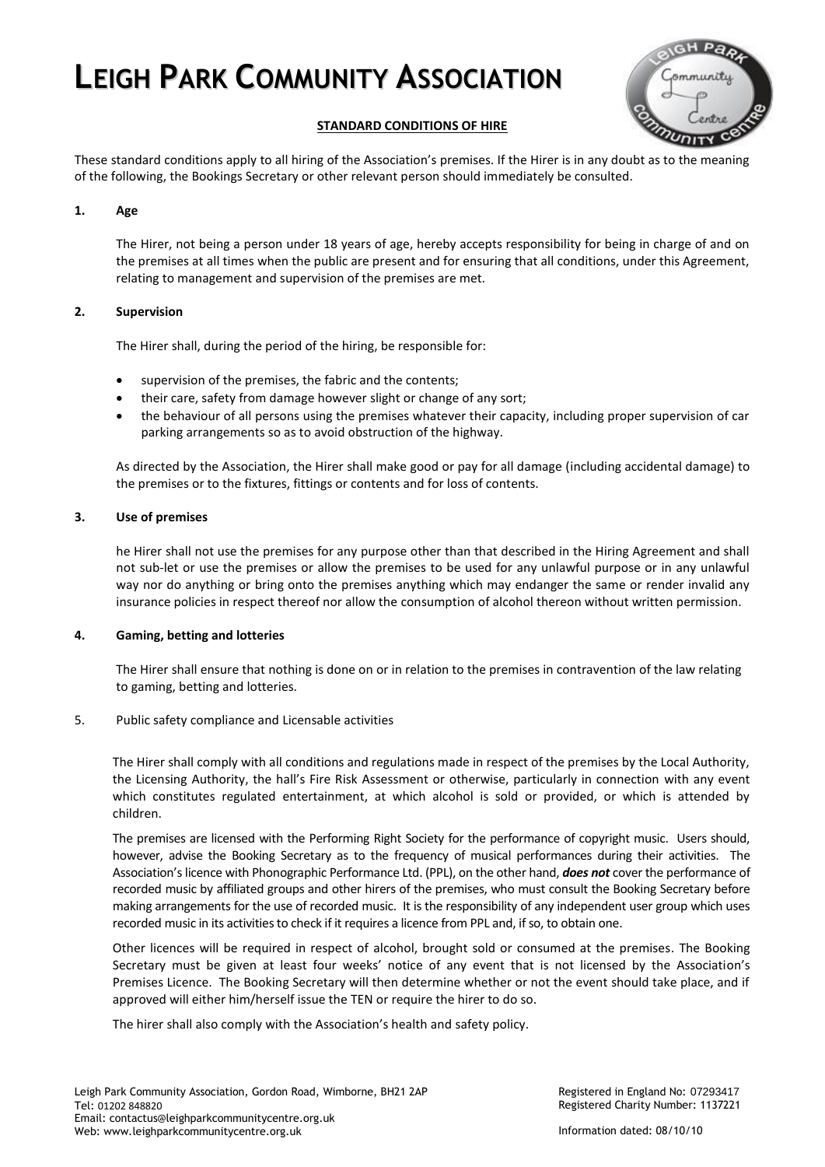

## **STANDARD CONDITIONS OF HIRE**

These standard conditions apply to all hiring of the Association's premises. If the Hirer is in any doubt as to the meaning of the following, the Bookings Secretary or other relevant person should immediately be consulted.

## **1. Age**

The Hirer, not being a person under 18 years of age, hereby accepts responsibility for being in charge of and on the premises at all times when the public are present and for ensuring that all conditions, under this Agreement, relating to management and supervision of the premises are met.

## **2. Supervision**

The Hirer shall, during the period of the hiring, be responsible for:

- supervision of the premises, the fabric and the contents;
- their care, safety from damage however slight or change of any sort;
- the behaviour of all persons using the premises whatever their capacity, including proper supervision of car parking arrangements so as to avoid obstruction of the highway.

As directed by the Association, the Hirer shall make good or pay for all damage (including accidental damage) to the premises or to the fixtures, fittings or contents and for loss of contents.

## **3. Use of premises**

he Hirer shall not use the premises for any purpose other than that described in the Hiring Agreement and shall not sub-let or use the premises or allow the premises to be used for any unlawful purpose or in any unlawful way nor do anything or bring onto the premises anything which may endanger the same or render invalid any insurance policies in respect thereof nor allow the consumption of alcohol thereon without written permission.

## **4. Gaming, betting and lotteries**

The Hirer shall ensure that nothing is done on or in relation to the premises in contravention of the law relating to gaming, betting and lotteries.

## 5. Public safety compliance and Licensable activities

The Hirer shall comply with all conditions and regulations made in respect of the premises by the Local Authority, the Licensing Authority, the hall's Fire Risk Assessment or otherwise, particularly in connection with any event which constitutes regulated entertainment, at which alcohol is sold or provided, or which is attended by children.

The premises are licensed with the Performing Right Society for the performance of copyright music. Users should, however, advise the Booking Secretary as to the frequency of musical performances during their activities. The Association's licence with Phonographic Performance Ltd. (PPL), on the other hand, *does not* cover the performance of recorded music by affiliated groups and other hirers of the premises, who must consult the Booking Secretary before making arrangements for the use of recorded music. It is the responsibility of any independent user group which uses recorded music in its activities to check if it requires a licence from PPL and, if so, to obtain one.

Other licences will be required in respect of alcohol, brought sold or consumed at the premises. The Booking Secretary must be given at least four weeks' notice of any event that is not licensed by the Association's Premises Licence. The Booking Secretary will then determine whether or not the event should take place, and if approved will either him/herself issue the TEN or require the hirer to do so.

The hirer shall also comply with the Association's health and safety policy.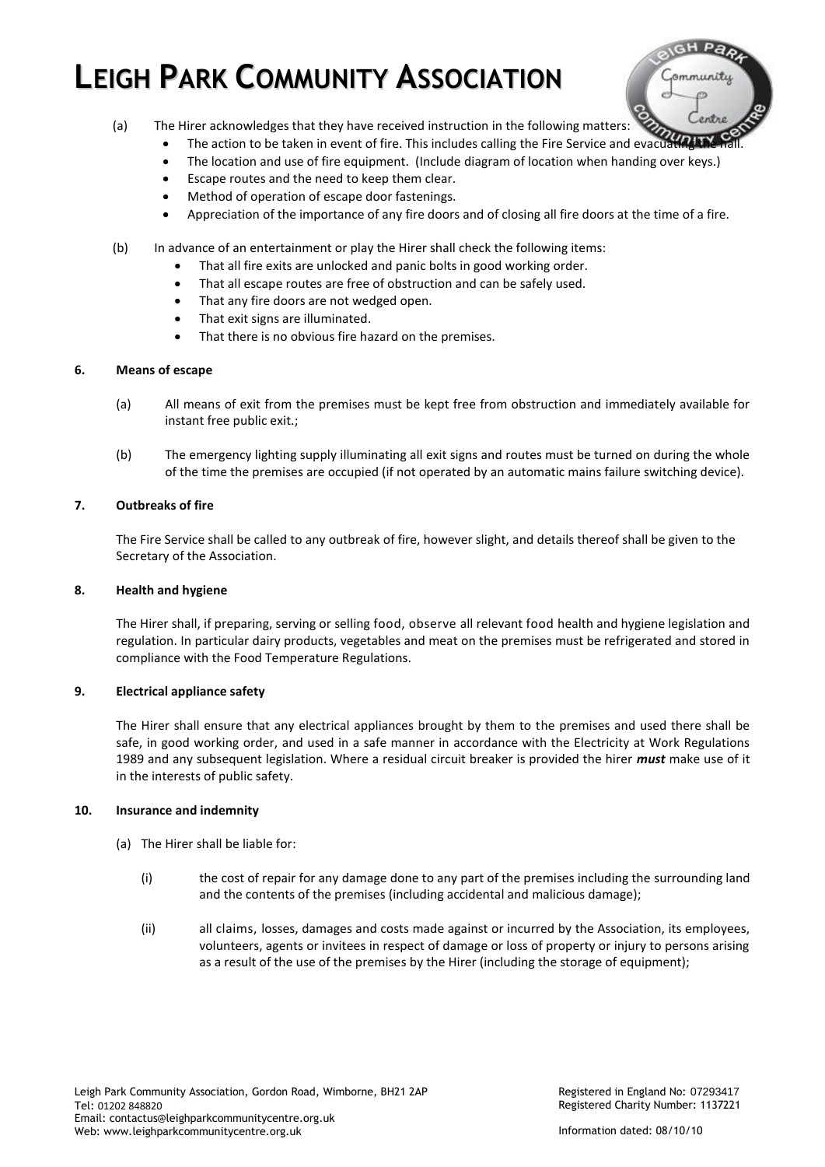

- (a) The Hirer acknowledges that they have received instruction in the following matters:
	- The action to be taken in event of fire. This includes calling the Fire Service and evacuating the
	- The location and use of fire equipment. (Include diagram of location when handing over keys.)
	- Escape routes and the need to keep them clear.
	- Method of operation of escape door fastenings.
	- Appreciation of the importance of any fire doors and of closing all fire doors at the time of a fire.
- (b) In advance of an entertainment or play the Hirer shall check the following items:
	- That all fire exits are unlocked and panic bolts in good working order.
	- That all escape routes are free of obstruction and can be safely used.
	- That any fire doors are not wedged open.
	- That exit signs are illuminated.
	- That there is no obvious fire hazard on the premises.

## **6. Means of escape**

- (a) All means of exit from the premises must be kept free from obstruction and immediately available for instant free public exit.;
- (b) The emergency lighting supply illuminating all exit signs and routes must be turned on during the whole of the time the premises are occupied (if not operated by an automatic mains failure switching device).

## **7. Outbreaks of fire**

The Fire Service shall be called to any outbreak of fire, however slight, and details thereof shall be given to the Secretary of the Association.

## **8. Health and hygiene**

The Hirer shall, if preparing, serving or selling food, observe all relevant food health and hygiene legislation and regulation. In particular dairy products, vegetables and meat on the premises must be refrigerated and stored in compliance with the Food Temperature Regulations.

## **9. Electrical appliance safety**

The Hirer shall ensure that any electrical appliances brought by them to the premises and used there shall be safe, in good working order, and used in a safe manner in accordance with the Electricity at Work Regulations 1989 and any subsequent legislation. Where a residual circuit breaker is provided the hirer *must* make use of it in the interests of public safety.

## **10. Insurance and indemnity**

- (a) The Hirer shall be liable for:
	- (i) the cost of repair for any damage done to any part of the premises including the surrounding land and the contents of the premises (including accidental and malicious damage);
	- (ii) all claims, losses, damages and costs made against or incurred by the Association, its employees, volunteers, agents or invitees in respect of damage or loss of property or injury to persons arising as a result of the use of the premises by the Hirer (including the storage of equipment);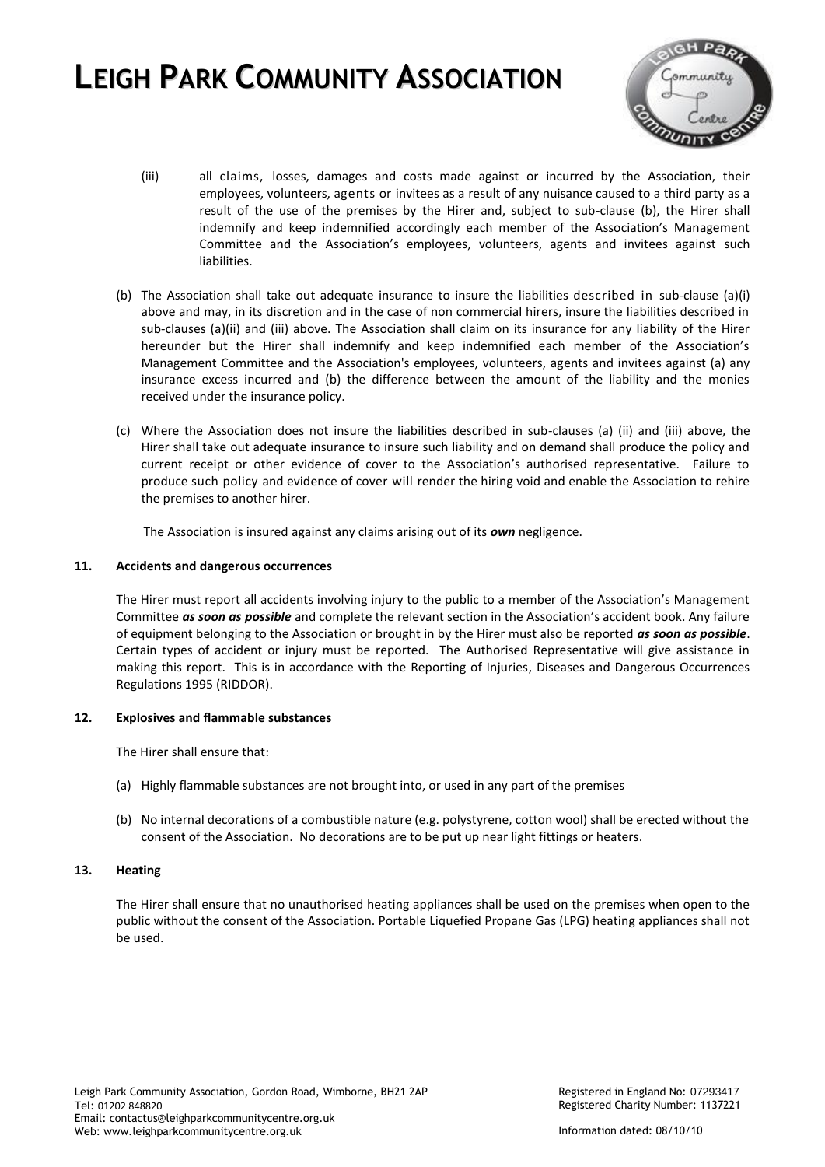

- (iii) all claims, losses, damages and costs made against or incurred by the Association, their employees, volunteers, agents or invitees as a result of any nuisance caused to a third party as a result of the use of the premises by the Hirer and, subject to sub-clause (b), the Hirer shall indemnify and keep indemnified accordingly each member of the Association's Management Committee and the Association's employees, volunteers, agents and invitees against such liabilities.
- (b) The Association shall take out adequate insurance to insure the liabilities described in sub-clause (a)(i) above and may, in its discretion and in the case of non commercial hirers, insure the liabilities described in sub-clauses (a)(ii) and (iii) above. The Association shall claim on its insurance for any liability of the Hirer hereunder but the Hirer shall indemnify and keep indemnified each member of the Association's Management Committee and the Association's employees, volunteers, agents and invitees against (a) any insurance excess incurred and (b) the difference between the amount of the liability and the monies received under the insurance policy.
- (c) Where the Association does not insure the liabilities described in sub-clauses (a) (ii) and (iii) above, the Hirer shall take out adequate insurance to insure such liability and on demand shall produce the policy and current receipt or other evidence of cover to the Association's authorised representative. Failure to produce such policy and evidence of cover will render the hiring void and enable the Association to rehire the premises to another hirer.

The Association is insured against any claims arising out of its *own* negligence.

## **11. Accidents and dangerous occurrences**

The Hirer must report all accidents involving injury to the public to a member of the Association's Management Committee *as soon as possible* and complete the relevant section in the Association's accident book. Any failure of equipment belonging to the Association or brought in by the Hirer must also be reported *as soon as possible*. Certain types of accident or injury must be reported. The Authorised Representative will give assistance in making this report. This is in accordance with the Reporting of Injuries, Diseases and Dangerous Occurrences Regulations 1995 (RIDDOR).

#### **12. Explosives and flammable substances**

The Hirer shall ensure that:

- (a) Highly flammable substances are not brought into, or used in any part of the premises
- (b) No internal decorations of a combustible nature (e.g. polystyrene, cotton wool) shall be erected without the consent of the Association. No decorations are to be put up near light fittings or heaters.

#### **13. Heating**

The Hirer shall ensure that no unauthorised heating appliances shall be used on the premises when open to the public without the consent of the Association. Portable Liquefied Propane Gas (LPG) heating appliances shall not be used.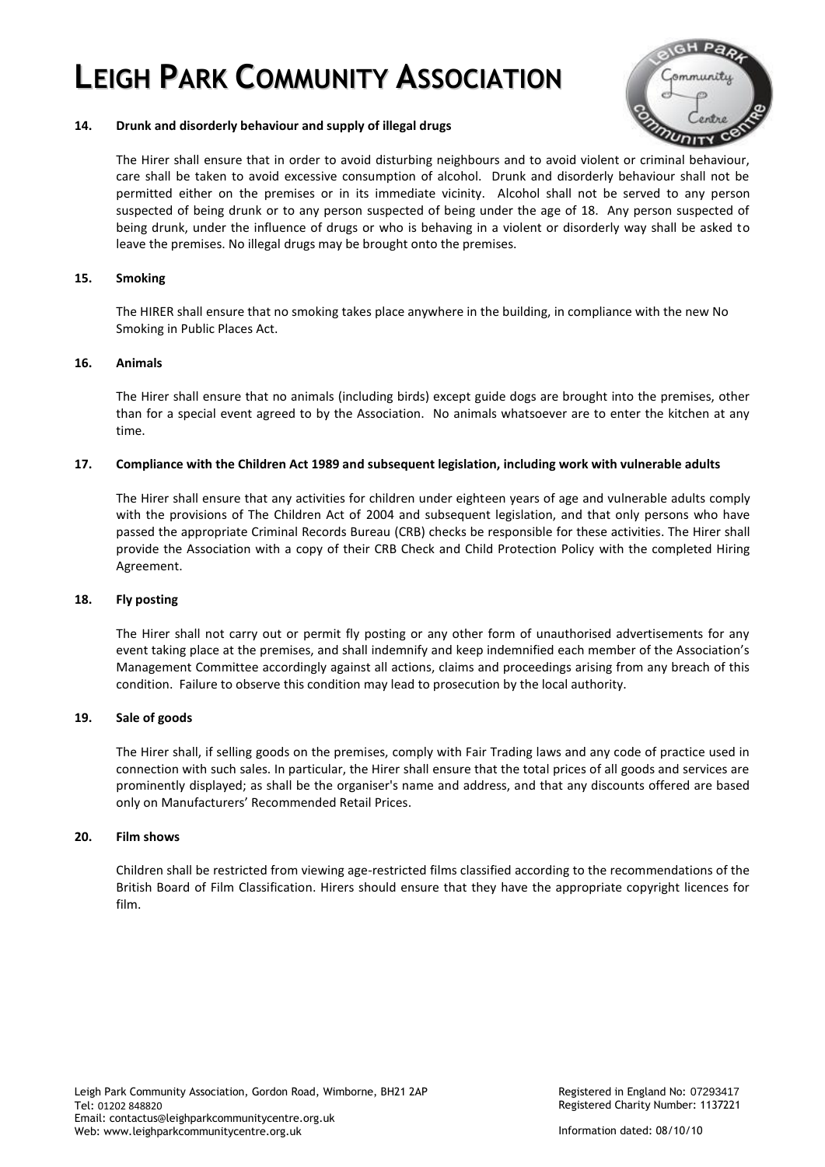

## **14. Drunk and disorderly behaviour and supply of illegal drugs**

The Hirer shall ensure that in order to avoid disturbing neighbours and to avoid violent or criminal behaviour, care shall be taken to avoid excessive consumption of alcohol. Drunk and disorderly behaviour shall not be permitted either on the premises or in its immediate vicinity. Alcohol shall not be served to any person suspected of being drunk or to any person suspected of being under the age of 18. Any person suspected of being drunk, under the influence of drugs or who is behaving in a violent or disorderly way shall be asked to leave the premises. No illegal drugs may be brought onto the premises.

## **15. Smoking**

The HIRER shall ensure that no smoking takes place anywhere in the building, in compliance with the new No Smoking in Public Places Act.

## **16. Animals**

The Hirer shall ensure that no animals (including birds) except guide dogs are brought into the premises, other than for a special event agreed to by the Association. No animals whatsoever are to enter the kitchen at any time.

## **17. Compliance with the Children Act 1989 and subsequent legislation, including work with vulnerable adults**

The Hirer shall ensure that any activities for children under eighteen years of age and vulnerable adults comply with the provisions of The Children Act of 2004 and subsequent legislation, and that only persons who have passed the appropriate Criminal Records Bureau (CRB) checks be responsible for these activities. The Hirer shall provide the Association with a copy of their CRB Check and Child Protection Policy with the completed Hiring Agreement.

## **18. Fly posting**

The Hirer shall not carry out or permit fly posting or any other form of unauthorised advertisements for any event taking place at the premises, and shall indemnify and keep indemnified each member of the Association's Management Committee accordingly against all actions, claims and proceedings arising from any breach of this condition. Failure to observe this condition may lead to prosecution by the local authority.

## **19. Sale of goods**

The Hirer shall, if selling goods on the premises, comply with Fair Trading laws and any code of practice used in connection with such sales. In particular, the Hirer shall ensure that the total prices of all goods and services are prominently displayed; as shall be the organiser's name and address, and that any discounts offered are based only on Manufacturers' Recommended Retail Prices.

## **20. Film shows**

Children shall be restricted from viewing age-restricted films classified according to the recommendations of the British Board of Film Classification. Hirers should ensure that they have the appropriate copyright licences for film.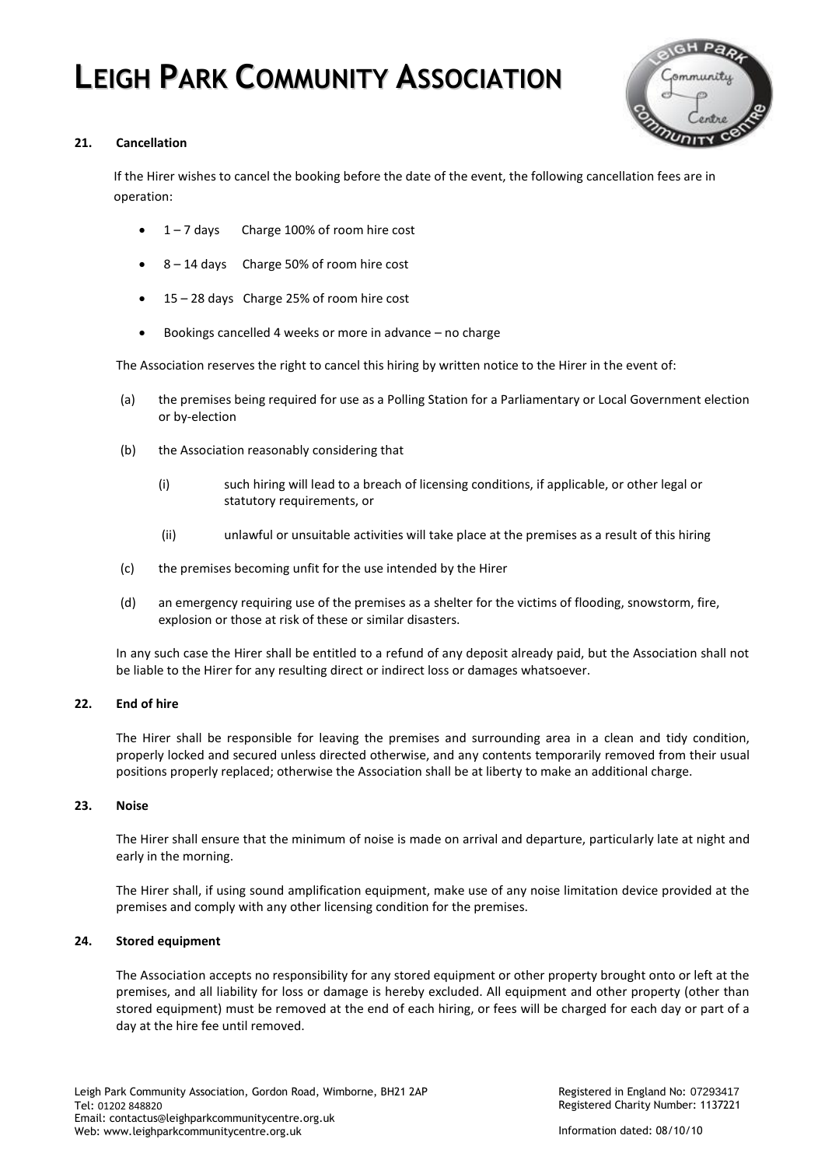

## **21. Cancellation**

If the Hirer wishes to cancel the booking before the date of the event, the following cancellation fees are in operation:

- 1 7 days Charge 100% of room hire cost
- 8 14 days Charge 50% of room hire cost
- 15 28 days Charge 25% of room hire cost
- Bookings cancelled 4 weeks or more in advance no charge

The Association reserves the right to cancel this hiring by written notice to the Hirer in the event of:

- (a) the premises being required for use as a Polling Station for a Parliamentary or Local Government election or by-election
- (b) the Association reasonably considering that
	- (i) such hiring will lead to a breach of licensing conditions, if applicable, or other legal or statutory requirements, or
	- (ii) unlawful or unsuitable activities will take place at the premises as a result of this hiring
- (c) the premises becoming unfit for the use intended by the Hirer
- (d) an emergency requiring use of the premises as a shelter for the victims of flooding, snowstorm, fire, explosion or those at risk of these or similar disasters.

In any such case the Hirer shall be entitled to a refund of any deposit already paid, but the Association shall not be liable to the Hirer for any resulting direct or indirect loss or damages whatsoever.

#### **22. End of hire**

The Hirer shall be responsible for leaving the premises and surrounding area in a clean and tidy condition, properly locked and secured unless directed otherwise, and any contents temporarily removed from their usual positions properly replaced; otherwise the Association shall be at liberty to make an additional charge.

#### **23. Noise**

The Hirer shall ensure that the minimum of noise is made on arrival and departure, particularly late at night and early in the morning.

The Hirer shall, if using sound amplification equipment, make use of any noise limitation device provided at the premises and comply with any other licensing condition for the premises.

#### **24. Stored equipment**

The Association accepts no responsibility for any stored equipment or other property brought onto or left at the premises, and all liability for loss or damage is hereby excluded. All equipment and other property (other than stored equipment) must be removed at the end of each hiring, or fees will be charged for each day or part of a day at the hire fee until removed.